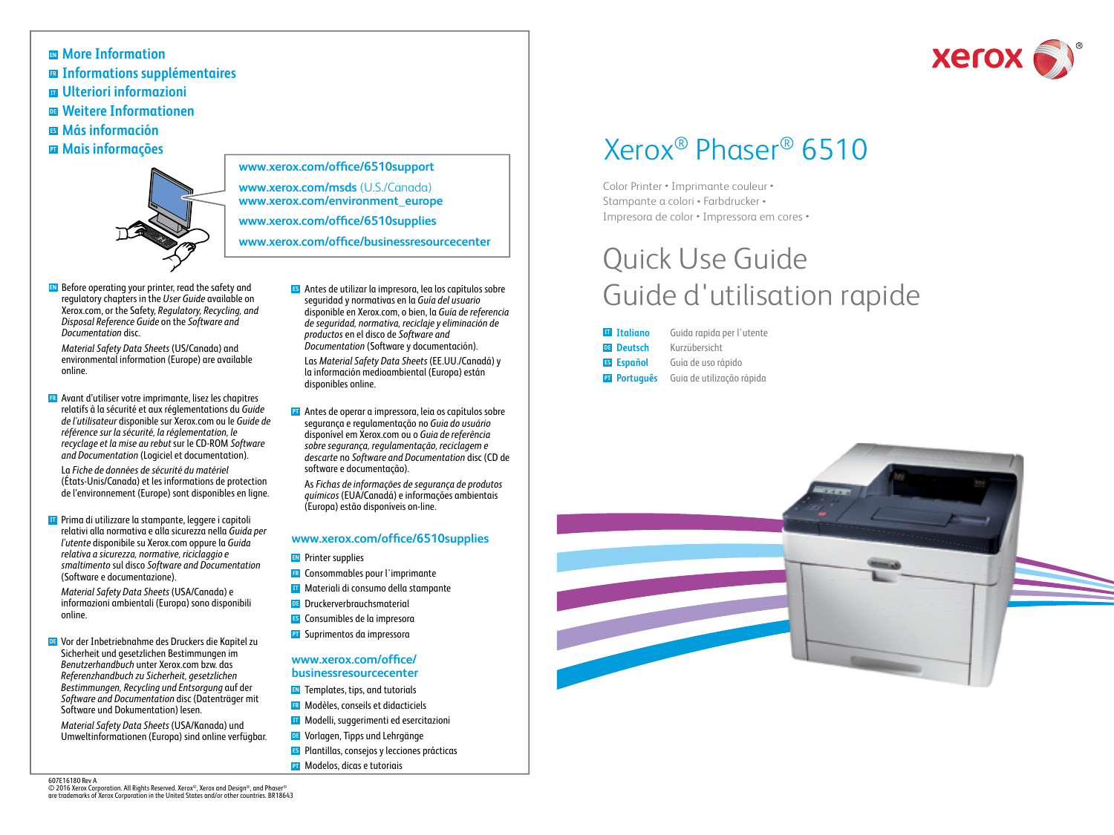

- **Informations supplémentaires FR**
- **Ulteriori informazioni IT**
- **Weitere Informationen DE**
- **Más información ES**
- **Mais informações PT**



**EN** Before operating your printer, read the safety and regulatory chapters in the *User Guide* available on Xerox.com, or the Safety, *Regulatory, Recycling, and Disposal Reference Guide* on the *Software and Documentation* disc.

*Material Safety Data Sheets* (US/Canada) and environmental information (Europe) are available online.

**FR** Avant d'utiliser votre imprimante, lisez les chapitres relatifs à la sécurité et aux réglementations du *Guide de l'utilisateur* disponible sur Xerox.com ou le *Guide de référence sur la sécurité, la réglementation, le recyclage et la mise au rebut* sur le CD-ROM *Software and Documentation* (Logiciel et documentation).

La *Fiche de données de sécurité du matériel* (États-Unis/Canada) et les informations de protection de l'environnement (Europe) sont disponibles en ligne.

**IT** Prima di utilizzare la stampante, leggere i capitoli relativi alla normativa e alla sicurezza nella *Guida per l'utente* disponibile su Xerox.com oppure la *Guida relativa a sicurezza, normative, riciclaggio e smaltimento* sul disco *Software and Documentation* (Software e documentazione).

*Material Safety Data Sheets* (USA/Canada) e informazioni ambientali (Europa) sono disponibili online.

**DE** Vor der Inbetriebnahme des Druckers die Kapitel zu Sicherheit und gesetzlichen Bestimmungen im *Benutzerhandbuch* unter Xerox.com bzw. das *Referenzhandbuch zu Sicherheit, gesetzlichen Bestimmungen, Recycling und Entsorgung* auf der *Software and Documentation* disc (Datenträger mit Software und Dokumentation) lesen.

*Material Safety Data Sheets* (USA/Kanada) und Umweltinformationen (Europa) sind online verfügbar.

**[www.xerox.com/office/6510support](http://www.office.xerox.com/cgi-bin/printer.pl?APP=udpdfs&Page=color&Model=Phaser+6510&PgName=tech)**

**[www.xerox.com/msds](http://www.office.xerox.com/cgi-bin/printer.pl?APP=udpdfs&Page=color&Model=Phaser+6510&PgName=msdsna)** (U.S./Canada) **[www.xerox.com/environment\\_europe](http://www.office.xerox.com/cgi-bin/printer.pl?APP=udpdfs&Page=color&Model=Phaser+6510&PgName=msdseu)**

**[www.xerox.com/office/6510supplies](http://www.office.xerox.com/cgi-bin/printer.pl?APP=udpdfs&Page=color&Model=Phaser+6510&PgName=order)**

**[www.xerox.com/office/businessresourcecenter](http://www.office.xerox.com/cgi-bin/printer.pl?APP=udpdfs&Page=color&PgName=businessresourcecenter)**

**ES** Antes de utilizar la impresora, lea los capítulos sobre seguridad y normativas en la *Guía del usuario* disponible en Xerox.com, o bien, la *Guía de referencia de seguridad, normativa, reciclaje y eliminación de productos* en el disco de *Software and Documentation* (Software y documentación).

Las *Material Safety Data Sheets* (EE.UU./Canadá) y la información medioambiental (Europa) están disponibles online.

**PT** Antes de operar a impressora, leia os capítulos sobre segurança e regulamentação no *Guia do usuário* disponível em Xerox.com ou o *Guia de referência sobre segurança, regulamentação, reciclagem e descarte* no *Software and Documentation* disc (CD de software e documentação).

As *Fichas de informações de segurança de produtos químicos* (EUA/Canadá) e informações ambientais (Europa) estão disponíveis on-line.

#### **[www.xerox.com/office/6510supplies](http://www.office.xerox.com/cgi-bin/printer.pl?APP=udpdfs&Page=color&Model=Phaser+6510&PgName=order)**

- Printer supplies **EN**
- Consommables pour l'imprimante **FR**
- Materiali di consumo della stampante **IT**
- **DE** Druckerverbrauchsmaterial
- Consumibles de la impresora **ES**
- Suprimentos da impressora **PT**

#### **www.xerox.com/office/ [businessresourcecenter](http://www.office.xerox.com/cgi-bin/printer.pl?APP=udpdfs&Page=color&PgName=businessresourcecenter)**

- Templates, tips, and tutorials **EN**
- Modèles, conseils et didacticiels **FR**
- Modelli, suggerimenti ed esercitazioni **IT**
- Vorlagen, Tipps und Lehrgänge **DE**
- Plantillas, consejos y lecciones prácticas **ES**
- Modelos, dicas e tutoriais **PT**

## Xerox® Phaser® 6510

Color Printer • Imprimante couleur • Stampante a colori • Farbdrucker • Impresora de color • Impressora em cores •

# Quick Use Guide Guide d'utilisation rapide

| <b>II</b> Italiano    | Guida rapida per l'utente              |
|-----------------------|----------------------------------------|
| DE Deutsch            | Kurzübersicht                          |
| <sup>ES</sup> Español | Guía de uso rápido                     |
|                       | PT Português Guia de utilização rápida |

**D ES**



**Xerox of** 

© 2016 Xerox Corporation. All Rights Reserved. Xerox®, Xerox and Design®, and Phaser® are trademarks of Xerox Corporation in the United States and/or other countries. BR18643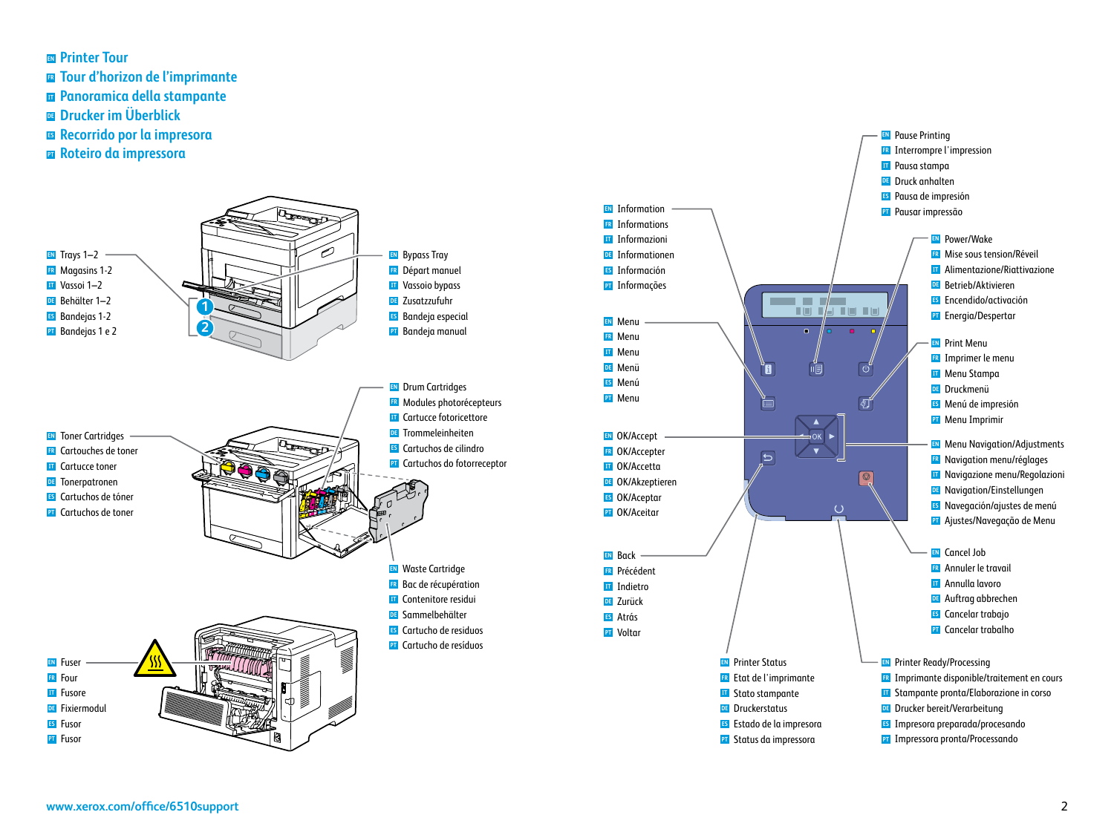### **E** Printer Tour

**Tour d'horizon de l'imprimant e FR**

**Panoramica della stampant e IT**

 $\blacksquare$  **Drucker im Überblick** 

- **Recorrido por la impresor a ES**
- **Roteiro da impressor a PT**



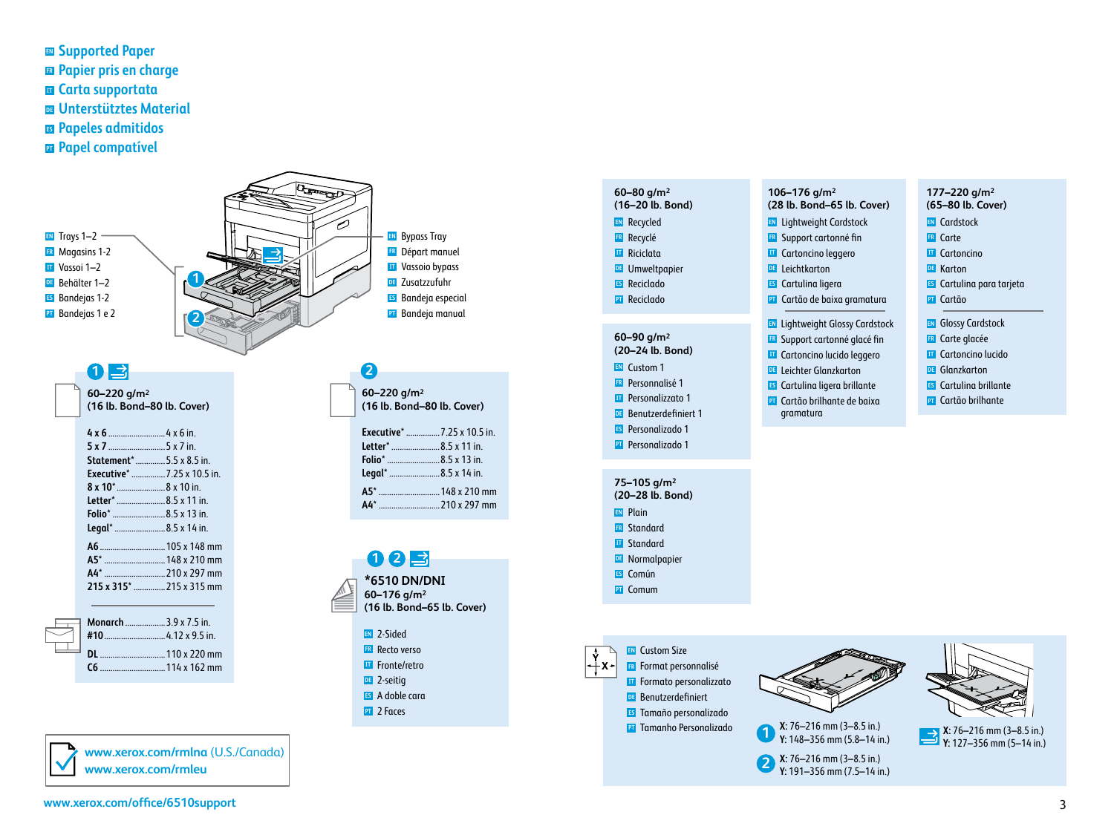- **EN Supported Paper**
- **FR Papier pris en charge**
- **IT Carta supportata**
- **DE Unterstütztes Material**
- **ES Papeles admitidos**
- **PT Papel compatível**



| www.xerox.com/rmleu              |  |
|----------------------------------|--|
| www.xerox.com/office/6510support |  |

**[www.xerox.com/rmlna](http://www.office.xerox.com/cgi-bin/printer.pl?APP=udpdfs&Page=color&Model=Phaser+6510&PgName=man)** (U.S./Canada)

| <b>Particular CopyCount</b> |
|-----------------------------|
| <b>PT</b> Bandeja manual    |
|                             |
|                             |
| 2                           |
|                             |
| 60-220 g/m <sup>2</sup>     |
| (16 lb. Bond-80 lb. Cover)  |
|                             |
|                             |
|                             |
|                             |
|                             |
|                             |
|                             |
|                             |
|                             |
| 12日                         |
| *6510 DN/DNI                |
| 60-176 $q/m^2$              |
| (16 lb. Bond-65 lb. Cover)  |
|                             |

| 60-80 $q/m^2$<br>(16-20 lb. Bond) |  |
|-----------------------------------|--|
| <b>EN</b> Recycled                |  |
| <b>FR</b> Recyclé                 |  |
| <b>IT</b> Riciclata               |  |
| <b>DE</b> Umweltpapier            |  |
| <b>ES</b> Reciclado               |  |
| <b>PT</b> Reciclado               |  |
|                                   |  |

#### **60–90 g/m 2 (20–24 lb. Bond)**

- **EN** Custom 1
- Personnalisé 1 **FR**
- Personalizzato 1 **IT**
- **DE** Benutzerdefiniert 1 Personalizado 1 **ES**
- **PT** Personalizado 1

## **75–105 g/m 2 (20–28 lb. Bond) EN** Plain Standard **FR** Standard **IT DE** Normalpapier Común **ES** Comum **PT**



- **106–176 g/m 2 (28 lb. Bond–65 lb. Cover)** Lightweight Cardstock **EN** Support cartonné fin **FR**
- **IT** Cartoncino leggero
- Leichtkarton **DE**
- **ES** Cartulina ligera
- Cartão de baixa gramatur a **PT**
- Lightweight Glossy Cardstock **EN**
- Support cartonné glacé fin **FR**
- Cartoncino lucido leggero **IT**
- **DE** Leichter Glanzkarton
- Cartulina ligera brillante **ES**
- Cartão brilhante de baixa **PT** gramatur a

#### **177–220 g/m 2 (65–80 lb. Cover)**

- **EN** Cardstock
- Carte **FR**
- Cartoncino **IT**
- **DE** Karton
- Cartulina para tarjet a **ES**
- Cartão **PT**
- **EN** Glossy Cardstock
- **FR** Carte glacée
- **IT** Cartoncino lucido
- **DE** Glanzkarton
- **ES** Cartulina brillant e
- **PT** Cartão brilhante

|       | <b>EN</b> Custom Size             |
|-------|-----------------------------------|
| $x -$ | <b>FR</b> Format personnalisé     |
|       | <b>IT</b> Formato personalizzato  |
|       | DE Benutzerdefiniert              |
|       | <sup>5</sup> Tamaño personalizado |
|       | <b>PT</b> Tamanho Personalizado   |



**Y:** 191–356 mm (7.5–14 in.)

 $\frac{3}{2}$  **X**: 76–216 mm (3–8.5 in.) **Y:** 127–356 mm (5–14 in.)

**Y**

<del>`+</del>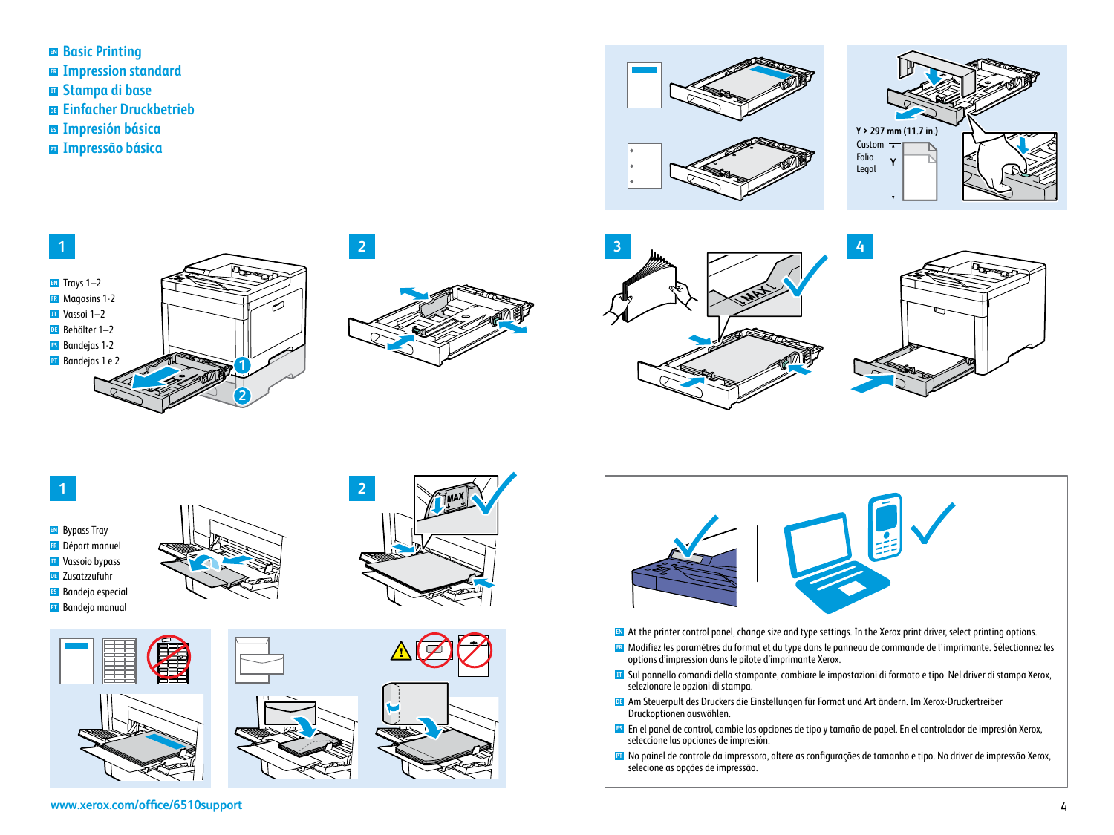- **Basic Printing EN Impression standard FR Stampa di base IT**
- **Einfacher Druckbetrieb DE**
- **Impresión básica ES**
- **Impressão básica PT**















**EN** Bypass Tray Départ manuel **FR** Vassoio bypass **IT**



Bandeja especial **ES** Bandeja manual **PT**











- **EN** At the printer control panel, change size and type settings. In the Xerox print driver, select printing options.
- **FR** Modifiez les paramètres du format et du type dans le panneau de commande de l'imprimante. Sélectionnez les options d'impression dans le pilote d'imprimante Xerox.
- **IT** Sul pannello comandi della stampante, cambiare le impostazioni di formato e tipo. Nel driver di stampa Xerox, selezionare le opzioni di stampa.
- **DE** Am Steuerpult des Druckers die Einstellungen für Format und Art ändern. Im Xerox-Druckertreiber Druckoptionen auswählen.
- **ES** En el panel de control, cambie las opciones de tipo y tamaño de papel. En el controlador de impresión Xerox, seleccione las opciones de impresión.
- **PT** No painel de controle da impressora, altere as configurações de tamanho e tipo. No driver de impressão Xerox, selecione as opções de impressão.